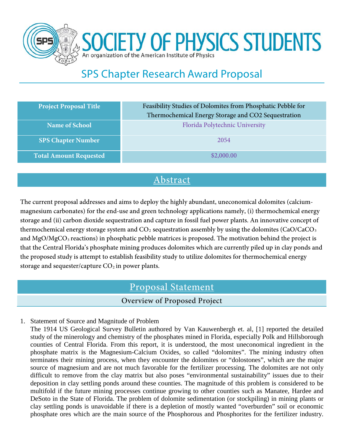

**SOCIETY OF PHYSICS STUDENTS** organization of the American Institute of Physics

# SPS Chapter Research Award Proposal

| <b>Project Proposal Title</b> | Feasibility Studies of Dolomites from Phosphatic Pebble for<br>Thermochemical Energy Storage and CO2 Sequestration |
|-------------------------------|--------------------------------------------------------------------------------------------------------------------|
| <b>Name of School</b>         | Florida Polytechnic University                                                                                     |
| <b>SPS Chapter Number</b>     | 2054                                                                                                               |
| <b>Total Amount Requested</b> | \$2,000.00                                                                                                         |

### Abstract

The current proposal addresses and aims to deploy the highly abundant, uneconomical dolomites (calciummagnesium carbonates) for the end-use and green technology applications namely, (i) thermochemical energy storage and (ii) carbon dioxide sequestration and capture in fossil fuel power plants. An innovative concept of thermochemical energy storage system and  $CO<sub>2</sub>$  sequestration assembly by using the dolomites (CaO/CaCO<sub>3</sub>) and MgO/MgCO<sub>3</sub> reactions) in phosphatic pebble matrices is proposed. The motivation behind the project is that the Central Florida's phosphate mining produces dolomites which are currently piled up in clay ponds and the proposed study is attempt to establish feasibility study to utilize dolomites for thermochemical energy storage and sequester/capture  $CO<sub>2</sub>$  in power plants.

## Proposal Statement

### Overview of Proposed Project

1. Statement of Source and Magnitude of Problem

The 1914 US Geological Survey Bulletin authored by Van Kauwenbergh et. al, [1] reported the detailed study of the minerology and chemistry of the phosphates mined in Florida, especially Polk and Hillsborough counties of Central Florida. From this report, it is understood, the most uneconomical ingredient in the phosphate matrix is the Magnesium-Calcium Oxides, so called "dolomites". The mining industry often terminates their mining process, when they encounter the dolomites or "dolostones", which are the major source of magnesium and are not much favorable for the fertilizer processing. The dolomites are not only difficult to remove from the clay matrix but also poses "environmental sustainability" issues due to their deposition in clay settling ponds around these counties. The magnitude of this problem is considered to be multifold if the future mining processes continue growing to other counties such as Manatee, Hardee and DeSoto in the State of Florida. The problem of dolomite sedimentation (or stockpiling) in mining plants or clay settling ponds is unavoidable if there is a depletion of mostly wanted "overburden" soil or economic phosphate ores which are the main source of the Phosphorous and Phosphorites for the fertilizer industry.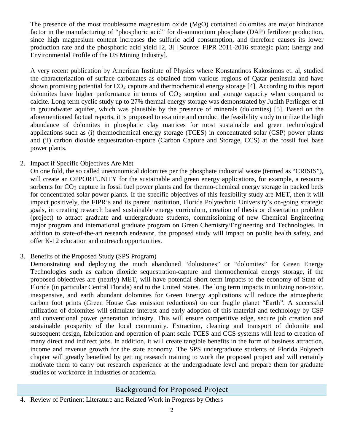The presence of the most troublesome magnesium oxide (MgO) contained dolomites are major hindrance factor in the manufacturing of "phosphoric acid" for di-ammonium phosphate (DAP) fertilizer production, since high magnesium content increases the sulfuric acid consumption, and therefore causes its lower production rate and the phosphoric acid yield [2, 3] [Source: FIPR 2011-2016 strategic plan; Energy and Environmental Profile of the US Mining Industry].

A very recent publication by American Institute of Physics where Konstantinos Kakosimos et. al, studied the characterization of surface carbonates as obtained from various regions of Qatar peninsula and have shown promising potential for  $CO<sub>2</sub>$  capture and thermochemical energy storage [4]. According to this report dolomites have higher performance in terms of  $CO<sub>2</sub>$  sorption and storage capacity when compared to calcite. Long term cyclic study up to 27% thermal energy storage was demonstrated by Judith Perlinger et al in groundwater aquifer, which was plausible by the presence of minerals (dolomites) [5]. Based on the aforementioned factual reports, it is proposed to examine and conduct the feasibility study to utilize the high abundance of dolomites in phosphatic clay matrices for most sustainable and green technological applications such as (i) thermochemical energy storage (TCES) in concentrated solar (CSP) power plants and (ii) carbon dioxide sequestration-capture (Carbon Capture and Storage, CCS) at the fossil fuel base power plants.

#### 2. Impact if Specific Objectives Are Met

On one fold, the so called uneconomical dolomites per the phosphate industrial waste (termed as "CRISIS"), will create an OPPORTUNITY for the sustainable and green energy applications, for example, a resource sorbents for CO<sub>2</sub> capture in fossil fuel power plants and for thermo-chemical energy storage in packed beds for concentrated solar power plants. If the specific objectives of this feasibility study are MET, then it will impact positively, the FIPR's and its parent institution, Florida Polytechnic University's on-going strategic goals, in creating research based sustainable energy curriculum, creation of thesis or dissertation problem (project) to attract graduate and undergraduate students, commissioning of new Chemical Engineering major program and international graduate program on Green Chemistry/Engineering and Technologies. In addition to state-of-the-art research endeavor, the proposed study will impact on public health safety, and offer K-12 education and outreach opportunities.

#### 3. Benefits of the Proposed Study (SPS Program)

Demonstrating and deploying the much abandoned "dolostones" or "dolomites" for Green Energy Technologies such as carbon dioxide sequestration-capture and thermochemical energy storage, if the proposed objectives are (nearly) MET, will have potential short term impacts to the economy of State of Florida (in particular Central Florida) and to the United States. The long term impacts in utilizing non-toxic, inexpensive, and earth abundant dolomites for Green Energy applications will reduce the atmospheric carbon foot prints (Green House Gas emission reductions) on our fragile planet "Earth". A successful utilization of dolomites will stimulate interest and early adoption of this material and technology by CSP and conventional power generation industry. This will ensure competitive edge, secure job creation and sustainable prosperity of the local community. Extraction, cleaning and transport of dolomite and subsequent design, fabrication and operation of plant scale TCES and CCS systems will lead to creation of many direct and indirect jobs. In addition, it will create tangible benefits in the form of business attraction, income and revenue growth for the state economy. The SPS undergraduate students of Florida Polytech chapter will greatly benefited by getting research training to work the proposed project and will certainly motivate them to carry out research experience at the undergraduate level and prepare them for graduate studies or workforce in industries or academia.

### Background for Proposed Project

4. Review of Pertinent Literature and Related Work in Progress by Others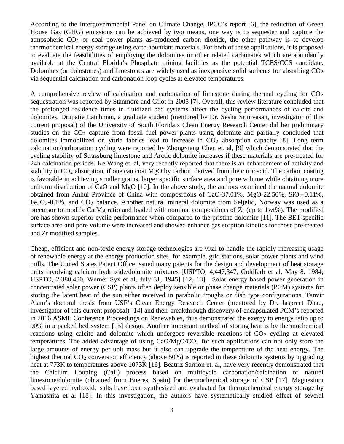According to the Intergovernmental Panel on Climate Change, IPCC's report [6], the reduction of Green House Gas (GHG) emissions can be achieved by two means, one way is to sequester and capture the atmospheric  $CO<sub>2</sub>$  or coal power plants as-produced carbon dioxide, the other pathway is to develop thermochemical energy storage using earth abundant materials. For both of these applications, it is proposed to evaluate the feasibilities of employing the dolomites or other related carbonates which are abundantly available at the Central Florida's Phosphate mining facilities as the potential TCES/CCS candidate. Dolomites (or dolostones) and limestones are widely used as inexpensive solid sorbents for absorbing  $CO<sub>2</sub>$ via sequential calcination and carbonation loop cycles at elevated temperatures.

A comprehensive review of calcination and carbonation of limestone during thermal cycling for  $CO<sub>2</sub>$ sequestration was reported by Stanmore and Gilot in 2005 [7]. Overall, this review literature concluded that the prolonged residence times in fluidized bed systems affect the cycling performances of calcite and dolomites. Drupatie Latchman, a graduate student (mentored by Dr. Sesha Srinivasan, investigator of this current proposal) of the University of South Florida's Clean Energy Research Center did her preliminary studies on the  $CO<sub>2</sub>$  capture from fossil fuel power plants using dolomite and partially concluded that dolomites immobilized on yttria fabrics lead to increase in  $CO<sub>2</sub>$  absorption capacity [8]. Long term calcination/carbonation cycling were reported by Zhongxiang Chen et. al, [9] which demonstrated that the cycling stability of Strassburg limestone and Arctic dolomite increases if these materials are pre-treated for 24h calcination periods. Ke Wang et. al, very recently reported that there is an enhancement of activity and stability in  $CO<sub>2</sub>$  absorption, if one can coat MgO by carbon derived from the citric acid. The carbon coating is favorable in achieving smaller grains, larger specific surface area and pore volume while obtaining more uniform distribution of CaO and MgO [10]. In the above study, the authors examined the natural dolomite obtained from Anhui Province of China with compositions of CaO-37.01%, MgO-22.50%, SiO<sub>2</sub>-0.11%,  $Fe<sub>2</sub>O<sub>3</sub>-0.1%$ , and  $CO<sub>2</sub>$  balance. Another natural mineral dolomite from Seljelid, Norway was used as a precursor to modify Ca:Mg ratio and loaded with nominal compositions of Zr (up to 1wt%). The modified ore has shown superior cyclic performance when compared to the pristine dolomite [11]. The BET specific surface area and pore volume were increased and showed enhance gas sorption kinetics for those pre-treated and Zr modified samples.

Cheap, efficient and non-toxic energy storage technologies are vital to handle the rapidly increasing usage of renewable energy at the energy production sites, for example, grid stations, solar power plants and wind mills. The United States Patent Office issued many patents for the design and development of heat storage units involving calcium hydroxide/dolomite mixtures [USPTO, 4,447,347, Goldfarb et al, May 8. 1984; USPTO, 2,380,480, Werner Syx et al, July 31, 1945] [12, 13]. Solar energy based power generation in concentrated solar power (CSP) plants often deploy sensible or phase change materials (PCM) systems for storing the latent heat of the sun either received in parabolic troughs or dish type configurations. Tanvir Alam's doctoral thesis from USF's Clean Energy Research Center (mentored by Dr. Jaspreet Dhau, investigator of this current proposal) [14] and their breakthrough discovery of encapsulated PCM's reported in 2016 ASME Conference Proceedings on Renewables, thus demonstrated the exergy to energy ratio up to 90% in a packed bed system [15] design. Another important method of storing heat is by thermochemical reactions using calcite and dolomite which undergoes reversible reactions of  $CO<sub>2</sub>$  cycling at elevated temperatures. The added advantage of using CaO/MgO/CO2 for such applications can not only store the large amounts of energy per unit mass but it also can upgrade the temperature of the heat energy. The highest thermal  $CO<sub>2</sub>$  conversion efficiency (above 50%) is reported in these dolomite systems by upgrading heat at 773K to temperatures above 1073K [16]. Beatriz Sarrion et. al, have very recently demonstrated that the Calcium Looping (CaL) process based on multicycle carbonation/calcination of natural limestone/dolomite (obtained from Bueres, Spain) for thermochemical storage of CSP [17]. Magnesium based layered hydroxide salts have been synthesized and evaluated for thermochemical energy storage by Yamashita et al [18]. In this investigation, the authors have systematically studied effect of several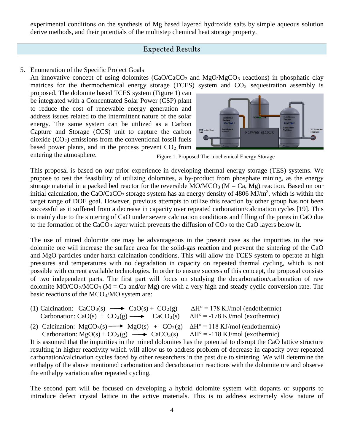experimental conditions on the synthesis of Mg based layered hydroxide salts by simple aqueous solution derive methods, and their potentials of the multistep chemical heat storage property.

#### Expected Results

#### 5. Enumeration of the Specific Project Goals

An innovative concept of using dolomites  $(CaO/CaCO<sub>3</sub>$  and  $MgO/MgCO<sub>3</sub>$  reactions) in phosphatic clay matrices for the thermochemical energy storage (TCES) system and  $CO<sub>2</sub>$  sequestration assembly is

proposed. The dolomite based TCES system (Figure 1) can be integrated with a Concentrated Solar Power (CSP) plant to reduce the cost of renewable energy generation and address issues related to the intermittent nature of the solar energy. The same system can be utilized as a Carbon Capture and Storage (CCS) unit to capture the carbon dioxide  $(CO<sub>2</sub>)$  emissions from the conventional fossil fuels based power plants, and in the process prevent  $CO<sub>2</sub>$  from entering the atmosphere.



Figure 1. Proposed Thermochemical Energy Storage

This proposal is based on our prior experience in developing thermal energy storage (TES) systems. We propose to test the feasibility of utilizing dolomites, a by-product from phosphate mining, as the energy storage material in a packed bed reactor for the reversible  $MO/MCO_3$  ( $M = Ca$ , Mg) reaction. Based on our initial calculation, the CaO/CaCO<sub>3</sub> storage system has an energy density of  $4806 \text{ MJ/m}^3$ , which is within the target range of DOE goal. However, previous attempts to utilize this reaction by other group has not been successful as it suffered from a decrease in capacity over repeated carbonation/calcination cycles [19]. This is mainly due to the sintering of CaO under severe calcination conditions and filling of the pores in CaO due to the formation of the  $CaCO<sub>3</sub>$  layer which prevents the diffusion of  $CO<sub>2</sub>$  to the CaO layers below it.

The use of mined dolomite ore may be advantageous in the present case as the impurities in the raw dolomite ore will increase the surface area for the solid-gas reaction and prevent the sintering of the CaO and MgO particles under harsh calcination conditions. This will allow the TCES system to operate at high pressures and temperatures with no degradation in capacity on repeated thermal cycling, which is not possible with current available technologies. In order to ensure success of this concept, the proposal consists of two independent parts. The first part will focus on studying the decarbonation/carbonation of raw dolomite  $MO/CO_2/MCO_3$  (M = Ca and/or Mg) ore with a very high and steady cyclic conversion rate. The basic reactions of the MCO3/MO system are:

- (1) Calcination:  $CaCO<sub>3</sub>(s) \longrightarrow CaO(s) + CO<sub>2</sub>(g) \qquad \Delta H^{\circ} = 178 \text{ KJ/mol (endothermic)}$ Carbonation: CaO(s) + CO<sub>2</sub>(g)  $\longrightarrow$  CaCO<sub>3</sub>(s)  $\Delta$ H<sup>o</sup> = -178 KJ/mol (exothermic)
- (2) Calcination:  $MgCO_3(s) \longrightarrow MgO(s) + CO_2(g)$   $\Delta H^{\circ} = 118 \text{ KJ/mol}$  (endothermic) Carbonation:  $MgO(s) + CO_2(g) \longrightarrow CaCO_3(s)$   $\Delta H^{\circ} = -118 \text{ KJ/mol}$  (exothermic)

It is assumed that the impurities in the mined dolomites has the potential to disrupt the CaO lattice structure resulting in higher reactivity which will allow us to address problem of decrease in capacity over repeated carbonation/calcination cycles faced by other researchers in the past due to sintering. We will determine the enthalpy of the above mentioned carbonation and decarbonation reactions with the dolomite ore and observe the enthalpy variation after repeated cycling.

The second part will be focused on developing a hybrid dolomite system with dopants or supports to introduce defect crystal lattice in the active materials. This is to address extremely slow nature of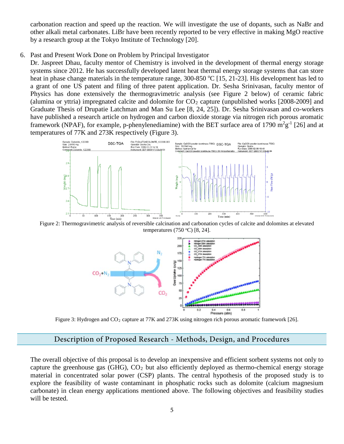carbonation reaction and speed up the reaction. We will investigate the use of dopants, such as NaBr and other alkali metal carbonates. LiBr have been recently reported to be very effective in making MgO reactive by a research group at the Tokyo Institute of Technology [20].

6. Past and Present Work Done on Problem by Principal Investigator

Dr. Jaspreet Dhau, faculty mentor of Chemistry is involved in the development of thermal energy storage systems since 2012. He has successfully developed latent heat thermal energy storage systems that can store heat in phase change materials in the temperature range, 300-850 °C [15, 21-23]. His development has led to a grant of one US patent and filing of three patent application. Dr. Sesha Srinivasan, faculty mentor of Physics has done extensively the thermogravimetric analysis (see Figure 2 below) of ceramic fabric (alumina or yttria) impregnated calcite and dolomite for  $CO<sub>2</sub>$  capture (unpublished works [2008-2009] and Graduate Thesis of Drupatie Latchman and Man Su Lee [8, 24, 25]). Dr. Sesha Srinivasan and co-workers have published a research article on hydrogen and carbon dioxide storage via nitrogen rich porous aromatic framework (NPAF), for example, p-phenylenediamine) with the BET surface area of 1790  $m^2g^{-1}$  [26] and at temperatures of 77K and 273K respectively (Figure 3).



Figure 2: Thermogravimetric analysis of reversible calcination and carbonation cycles of calcite and dolomites at elevated temperatures  $(750 °C)$  [8, 24].



Figure 3: Hydrogen and CO<sub>2</sub> capture at 77K and 273K using nitrogen rich porous aromatic framework [26].

### Description of Proposed Research - Methods, Design, and Procedures

The overall objective of this proposal is to develop an inexpensive and efficient sorbent systems not only to capture the greenhouse gas  $(GHG)$ ,  $CO<sub>2</sub>$  but also efficiently deployed as thermo-chemical energy storage material in concentrated solar power (CSP) plants. The central hypothesis of the proposed study is to explore the feasibility of waste contaminant in phosphatic rocks such as dolomite (calcium magnesium carbonate) in clean energy applications mentioned above. The following objectives and feasibility studies will be tested.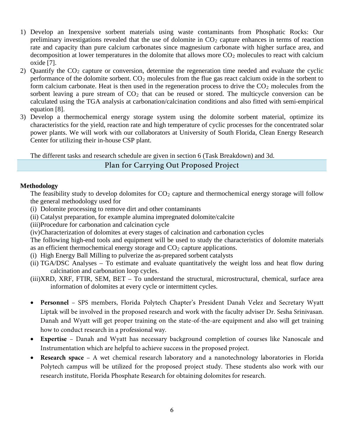- 1) Develop an Inexpensive sorbent materials using waste contaminants from Phosphatic Rocks: Our preliminary investigations revealed that the use of dolomite in  $CO<sub>2</sub>$  capture enhances in terms of reaction rate and capacity than pure calcium carbonates since magnesium carbonate with higher surface area, and decomposition at lower temperatures in the dolomite that allows more  $CO<sub>2</sub>$  molecules to react with calcium oxide [7].
- 2) Quantify the CO2 capture or conversion, determine the regeneration time needed and evaluate the cyclic performance of the dolomite sorbent. CO<sub>2</sub> molecules from the flue gas react calcium oxide in the sorbent to form calcium carbonate. Heat is then used in the regeneration process to drive the  $CO<sub>2</sub>$  molecules from the sorbent leaving a pure stream of  $CO<sub>2</sub>$  that can be reused or stored. The multicycle conversion can be calculated using the TGA analysis at carbonation/calcination conditions and also fitted with semi-empirical equation [8].
- 3) Develop a thermochemical energy storage system using the dolomite sorbent material, optimize its characteristics for the yield, reaction rate and high temperature of cyclic processes for the concentrated solar power plants. We will work with our collaborators at University of South Florida, Clean Energy Research Center for utilizing their in-house CSP plant.

The different tasks and research schedule are given in section 6 (Task Breakdown) and 3d.

#### Plan for Carrying Out Proposed Project

#### **Methodology**

The feasibility study to develop dolomites for  $CO<sub>2</sub>$  capture and thermochemical energy storage will follow the general methodology used for

- (i) Dolomite processing to remove dirt and other contaminants
- (ii) Catalyst preparation, for example alumina impregnated dolomite/calcite
- (iii)Procedure for carbonation and calcination cycle
- (iv)Characterization of dolomites at every stages of calcination and carbonation cycles

The following high-end tools and equipment will be used to study the characteristics of dolomite materials as an efficient thermochemical energy storage and  $CO<sub>2</sub>$  capture applications.

- (i) High Energy Ball Milling to pulverize the as-prepared sorbent catalysts
- (ii) TGA/DSC Analyses To estimate and evaluate quantitatively the weight loss and heat flow during calcination and carbonation loop cycles.
- (iii)XRD, XRF, FTIR, SEM, BET To understand the structural, microstructural, chemical, surface area information of dolomites at every cycle or intermittent cycles.
- **Personnel**  SPS members, Florida Polytech Chapter's President Danah Velez and Secretary Wyatt Liptak will be involved in the proposed research and work with the faculty adviser Dr. Sesha Srinivasan. Danah and Wyatt will get proper training on the state-of-the-are equipment and also will get training how to conduct research in a professional way.
- **Expertise** Danah and Wyatt has necessary background completion of courses like Nanoscale and Instrumentation which are helpful to achieve success in the proposed project.
- **Research space** A wet chemical research laboratory and a nanotechnology laboratories in Florida Polytech campus will be utilized for the proposed project study. These students also work with our research institute, Florida Phosphate Research for obtaining dolomites for research.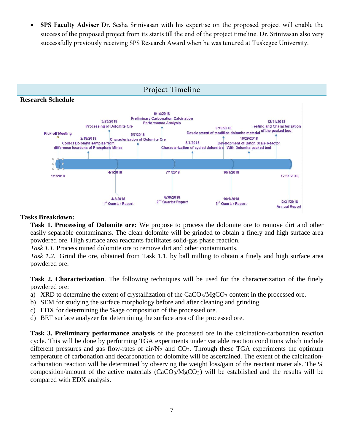• **SPS Faculty Adviser** Dr. Sesha Srinivasan with his expertise on the proposed project will enable the success of the proposed project from its starts till the end of the project timeline. Dr. Srinivasan also very successfully previously receiving SPS Research Award when he was tenured at Tuskegee University.



#### **Tasks Breakdown:**

**Task 1. Processing of Dolomite ore:** We propose to process the dolomite ore to remove dirt and other easily separable contaminants. The clean dolomite will be grinded to obtain a finely and high surface area powdered ore. High surface area reactants facilitates solid-gas phase reaction.

*Task 1.1.* Process mined dolomite ore to remove dirt and other contaminants.

*Task 1.2.* Grind the ore, obtained from Task 1.1, by ball milling to obtain a finely and high surface area powdered ore.

**Task 2. Characterization**. The following techniques will be used for the characterization of the finely powdered ore:

- a) XRD to determine the extent of crystallization of the  $CaCO<sub>3</sub>/MgCO<sub>3</sub>$  content in the processed ore.
- b) SEM for studying the surface morphology before and after cleaning and grinding.
- c) EDX for determining the %age composition of the processed ore.
- d) BET surface analyzer for determining the surface area of the processed ore.

**Task 3. Preliminary performance analysis** of the processed ore in the calcination-carbonation reaction cycle. This will be done by performing TGA experiments under variable reaction conditions which include different pressures and gas flow-rates of air/ $N_2$  and  $CO_2$ . Through these TGA experiments the optimum temperature of carbonation and decarbonation of dolomite will be ascertained. The extent of the calcinationcarbonation reaction will be determined by observing the weight loss/gain of the reactant materials. The % composition/amount of the active materials  $(CaCO<sub>3</sub>/MgCO<sub>3</sub>)$  will be established and the results will be compared with EDX analysis.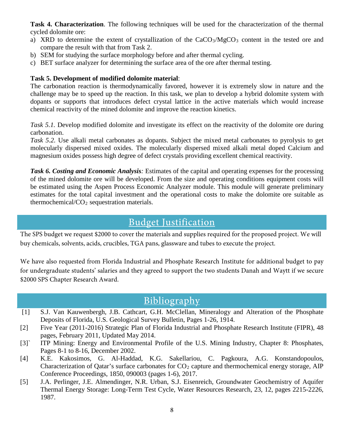**Task 4. Characterization**. The following techniques will be used for the characterization of the thermal cycled dolomite ore:

- a) XRD to determine the extent of crystallization of the  $CaCO<sub>3</sub>/MgCO<sub>3</sub>$  content in the tested ore and compare the result with that from Task 2.
- b) SEM for studying the surface morphology before and after thermal cycling.
- c) BET surface analyzer for determining the surface area of the ore after thermal testing.

#### **Task 5. Development of modified dolomite material**:

The carbonation reaction is thermodynamically favored, however it is extremely slow in nature and the challenge may be to speed up the reaction. In this task, we plan to develop a hybrid dolomite system with dopants or supports that introduces defect crystal lattice in the active materials which would increase chemical reactivity of the mined dolomite and improve the reaction kinetics.

*Task 5.1.* Develop modified dolomite and investigate its effect on the reactivity of the dolomite ore during carbonation.

*Task 5.2.* Use alkali metal carbonates as dopants. Subject the mixed metal carbonates to pyrolysis to get molecularly dispersed mixed oxides. The molecularly dispersed mixed alkali metal doped Calcium and magnesium oxides possess high degree of defect crystals providing excellent chemical reactivity.

*Task 6. Costing and Economic Analysis:* Estimates of the capital and operating expenses for the processing of the mined dolomite ore will be developed. From the size and operating conditions equipment costs will be estimated using the Aspen Process Economic Analyzer module. This module will generate preliminary estimates for the total capital investment and the operational costs to make the dolomite ore suitable as thermochemical/ $CO<sub>2</sub>$  sequestration materials.

## Budget Justification

The SPS budget we request \$2000 to cover the materials and supplies required for the proposed project. We will buy chemicals, solvents, acids, crucibles, TGA pans, glassware and tubes to execute the project.

We have also requested from Florida Industrial and Phosphate Research Institute for additional budget to pay for undergraduate students' salaries and they agreed to support the two students Danah and Waytt if we secure \$2000 SPS Chapter Research Award.

## Bibliography

- [1] S.J. Van Kauwenbergh, J.B. Cathcart, G.H. McClellan, Mineralogy and Alteration of the Phosphate Deposits of Florida, U.S. Geological Survey Bulletin, Pages 1-26, 1914.
- [2] Five Year (2011-2016) Strategic Plan of Florida Industrial and Phosphate Research Institute (FIPR), 48 pages, February 2011, Updated May 2014.
- [3]<sup>\</sup> ITP Mining: Energy and Environmental Profile of the U.S. Mining Industry, Chapter 8: Phosphates, Pages 8-1 to 8-16, December 2002.
- [4] K.E. Kakosimos, G. Al-Haddad, K.G. Sakellariou, C. Pagkoura, A.G. Konstandopoulos, Characterization of Qatar's surface carbonates for  $CO<sub>2</sub>$  capture and thermochemical energy storage, AIP Conference Proceedings, 1850, 090003 (pages 1-6), 2017.
- [5] J.A. Perlinger, J.E. Almendinger, N.R. Urban, S.J. Eisenreich, Groundwater Geochemistry of Aquifer Thermal Energy Storage: Long-Term Test Cycle, Water Resources Research, 23, 12, pages 2215-2226, 1987.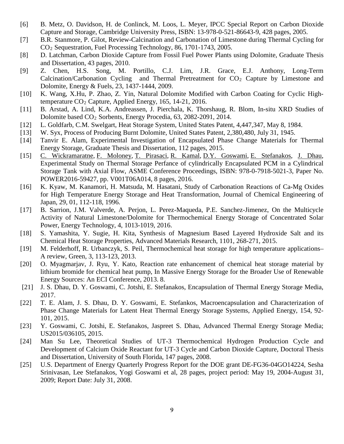- [6] B. Metz, O. Davidson, H. de Conlinck, M. Loos, L. Meyer, IPCC Special Report on Carbon Dioxide Capture and Storage, Cambridge University Press, ISBN: 13-978-0-521-86643-9, 428 pages, 2005.
- [7] B.R. Stanmore, P. Gilot, Review-Calcination and Carbonation of Limestone during Thermal Cycling for CO2 Sequestration, Fuel Processing Technology, 86, 1701-1743, 2005.
- [8] D. Latchman, Carbon Dioxide Capture from Fossil Fuel Power Plants using Dolomite, Graduate Thesis and Dissertation, 43 pages, 2010.
- [9] Z. Chen, H.S. Song, M. Portillo, C.J. Lim, J.R. Grace, E.J. Anthony, Long-Term Calcination/Carbonation Cycling and Thermal Pretreatment for  $CO<sub>2</sub>$  Capture by Limestone and Dolomite, Energy & Fuels, 23, 1437-1444, 2009.
- [10] K. Wang, X.Hu, P. Zhao, Z. Yin, Natural Dolomite Modified with Carbon Coating for Cyclic Hightemperature CO2 Capture, Applied Energy, 165, 14-21, 2016.
- [11] B. Arstad, A. Lind, K.A. Andreassen, J. Pierchala, K. Thorshaug, R. Blom, In-situ XRD Studies of Dolomite based CO2 Sorbents, Energy Procedia, 63, 2082-2091, 2014.
- [12] L. Goldfarb, C.M. Swelgart, Heat Storage System, United States Patent, 4,447,347, May 8, 1984.
- [13] W. Syx, Process of Producing Burnt Dolomite, United States Patent, 2,380,480, July 31, 1945.
- [14] Tanvir E. Alam, Experimental Investigation of Encapsulated Phase Change Materials for Thermal Energy Storage, Graduate Thesis and Dissertation, 112 pages, 2015.
- [15] C. [Wickramaratne,](http://proceedings.asmedigitalcollection.asme.org/solr/searchresults.aspx?author=Chatura+Wickramaratne&q=Chatura+Wickramaratne) F. [Moloney,](http://proceedings.asmedigitalcollection.asme.org/solr/searchresults.aspx?author=Francesca+Moloney&q=Francesca+Moloney) T. [Pirasaci,](http://proceedings.asmedigitalcollection.asme.org/solr/searchresults.aspx?author=Tolga+Pirasaci&q=Tolga+Pirasaci) R. [Kamal,](http://proceedings.asmedigitalcollection.asme.org/solr/searchresults.aspx?author=Rajeev+Kamal&q=Rajeev+Kamal) D.Y. [Goswami,](http://proceedings.asmedigitalcollection.asme.org/solr/searchresults.aspx?author=D.+Y.+Goswami&q=D.+Y.+Goswami) E. [Stefanakos,](http://proceedings.asmedigitalcollection.asme.org/solr/searchresults.aspx?author=Elias+Stefanakos&q=Elias+Stefanakos) J. [Dhau,](http://proceedings.asmedigitalcollection.asme.org/solr/searchresults.aspx?author=Jaspreet+Dhau&q=Jaspreet+Dhau) Experimental Study on Thermal Storage Perfance of cylindrically Encapsulated PCM in a Cylindrical Storage Tank with Axial Flow, ASME Conference Proceedings, ISBN: 978-0-7918-5021-3, Paper No. POWER2016-59427, pp. V001T06A014, 8 pages, 2016.
- [16] K. Kyaw, M. Kanamori, H. Matsuda, M. Hasatani, Study of Carbonation Reactions of Ca-Mg Oxides for High Temperature Energy Storage and Heat Transformation, Journal of Chemical Engineering of Japan, 29, 01, 112-118, 1996.
- [17] B. Sarrion, J.M. Valverde, A. Perjon, L. Perez-Maqueda, P.E. Sanchez-Jimenez, On the Multicycle Activity of Natural Limestone/Dolomite for Thermochemical Energy Storage of Concentrated Solar Power, Energy Technology, 4, 1013-1019, 2016.
- [18] S. Yamashita, Y. Sugie, H. Kita, Synthesis of Magnesium Based Layered Hydroxide Salt and its Chemical Heat Storage Properties, Advanced Materials Research, 1101, 268-271, 2015.
- [19] M. Felderhoff, R. Urbanczyk, S. Peil, Thermochemical heat storage for high temperature applications– A review, Green, 3, 113-123, 2013.
- [20] O. Myagmarjav, J. Ryu, Y. Kato, Reaction rate enhancement of chemical heat storage material by lithium bromide for chemical heat pump, In Massive Energy Storage for the Broader Use of Renewable Energy Sources: An ECI Conference, 2013. 8.
- [21] J. S. Dhau, D. Y. Goswami, C. Jotshi, E. Stefanakos, Encapsulation of Thermal Energy Storage Media, 2017.
- [22] T. E. Alam, J. S. Dhau, D. Y. Goswami, E. Stefankos, Macroencapsulation and Characterization of Phase Change Materials for Latent Heat Thermal Energy Storage Systems, Applied Energy, 154, 92- 101, 2015.
- [23] Y. Goswami, C. Jotshi, E. Stefanakos, Jaspreet S. Dhau, Advanced Thermal Energy Storage Media; US2015/036105, 2015.
- [24] Man Su Lee, Theoretical Studies of UT-3 Thermochemical Hydrogen Production Cycle and Development of Calcium Oxide Reactant for UT-3 Cycle and Carbon Dioxide Capture, Doctoral Thesis and Dissertation, University of South Florida, 147 pages, 2008.
- [25] U.S. Department of Energy Quarterly Progress Report for the DOE grant DE-FG36-04GO14224, Sesha Srinivasan, Lee Stefanakos, Yogi Goswami et al, 28 pages, project period: May 19, 2004-August 31, 2009; Report Date: July 31, 2008.